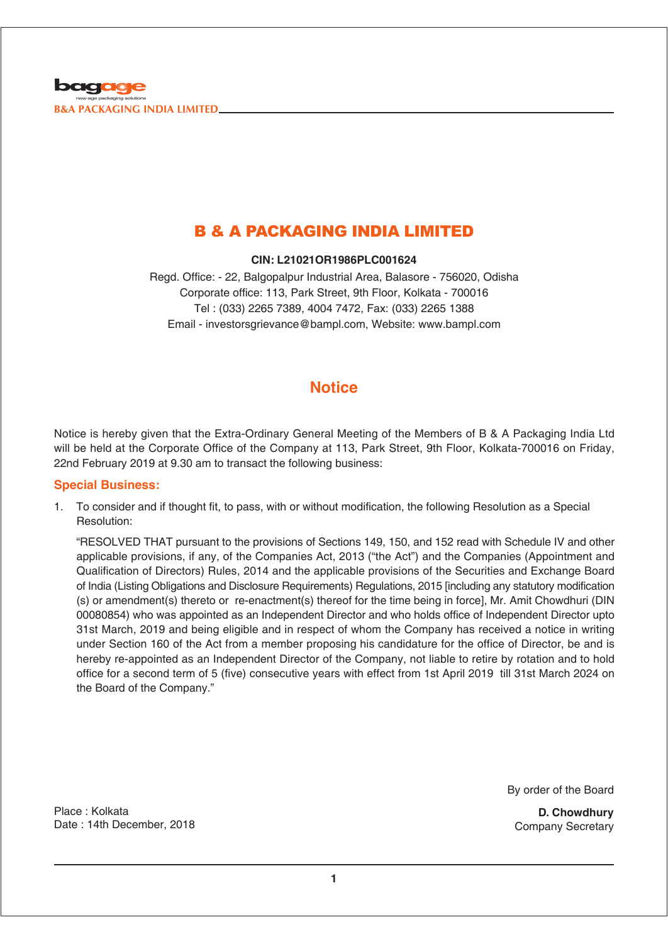

## B & A PACKAGING INDIA LIMITED

**CIN: L21021OR1986PLC001624**

Regd. Office: - 22, Balgopalpur Industrial Area, Balasore - 756020, Odisha Corporate office: 113, Park Street, 9th Floor, Kolkata - 700016 Tel : (033) 2265 7389, 4004 7472, Fax: (033) 2265 1388 Email - investorsgrievance@bampl.com, Website: www.bampl.com

## **Notice**

Notice is hereby given that the Extra-Ordinary General Meeting of the Members of B & A Packaging India Ltd will be held at the Corporate Office of the Company at 113, Park Street, 9th Floor, Kolkata-700016 on Friday, 22nd February 2019 at 9.30 am to transact the following business:

## **Special Business:**

1. To consider and if thought fit, to pass, with or without modification, the following Resolution as a Special Resolution:

"RESOLVED THAT pursuant to the provisions of Sections 149, 150, and 152 read with Schedule IV and other applicable provisions, if any, of the Companies Act, 2013 ("the Act") and the Companies (Appointment and Qualification of Directors) Rules, 2014 and the applicable provisions of the Securities and Exchange Board of India (Listing Obligations and Disclosure Requirements) Regulations, 2015 [including any statutory modification (s) or amendment(s) thereto or re-enactment(s) thereof for the time being in force], Mr. Amit Chowdhuri (DIN 00080854) who was appointed as an Independent Director and who holds office of Independent Director upto 31st March, 2019 and being eligible and in respect of whom the Company has received a notice in writing under Section 160 of the Act from a member proposing his candidature for the office of Director, be and is hereby re-appointed as an Independent Director of the Company, not liable to retire by rotation and to hold office for a second term of 5 (five) consecutive years with effect from 1st April 2019 till 31st March 2024 on the Board of the Company."

By order of the Board

**D. Chowdhury** Company Secretary

Place : Kolkata Date : 14th December, 2018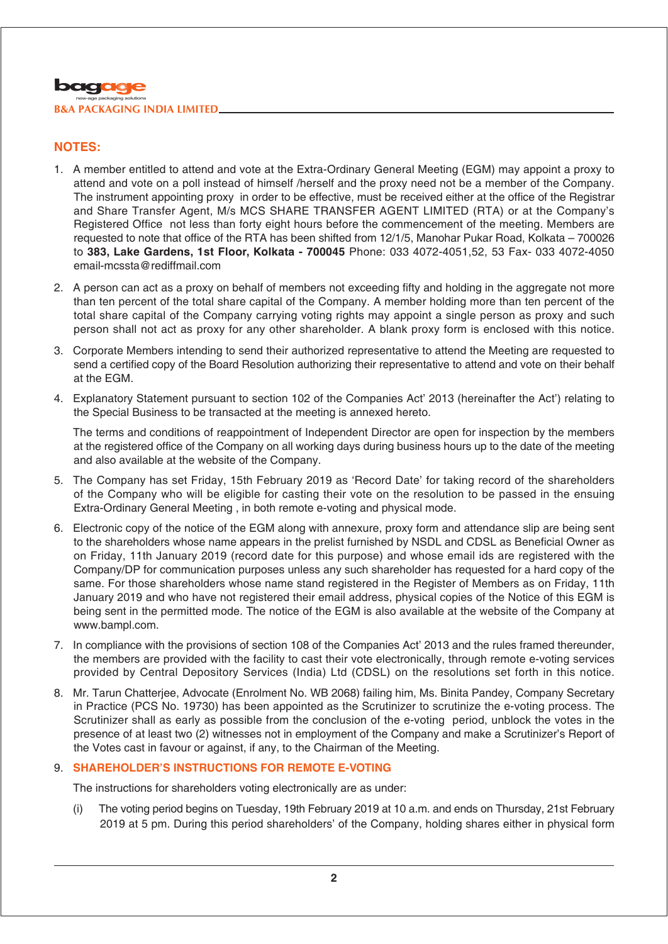## **NOTES:**

- 1. A member entitled to attend and vote at the Extra-Ordinary General Meeting (EGM) may appoint a proxy to attend and vote on a poll instead of himself /herself and the proxy need not be a member of the Company. The instrument appointing proxy in order to be effective, must be received either at the office of the Registrar and Share Transfer Agent, M/s MCS SHARE TRANSFER AGENT LIMITED (RTA) or at the Company's Registered Office not less than forty eight hours before the commencement of the meeting. Members are requested to note that office of the RTA has been shifted from 12/1/5, Manohar Pukar Road, Kolkata – 700026 to **383, Lake Gardens, 1st Floor, Kolkata - 700045** Phone: 033 4072-4051,52, 53 Fax- 033 4072-4050 email-mcssta@rediffmail.com
- 2. A person can act as a proxy on behalf of members not exceeding fifty and holding in the aggregate not more than ten percent of the total share capital of the Company. A member holding more than ten percent of the total share capital of the Company carrying voting rights may appoint a single person as proxy and such person shall not act as proxy for any other shareholder. A blank proxy form is enclosed with this notice.
- 3. Corporate Members intending to send their authorized representative to attend the Meeting are requested to send a certified copy of the Board Resolution authorizing their representative to attend and vote on their behalf at the EGM.
- 4. Explanatory Statement pursuant to section 102 of the Companies Act' 2013 (hereinafter the Act') relating to the Special Business to be transacted at the meeting is annexed hereto.

The terms and conditions of reappointment of Independent Director are open for inspection by the members at the registered office of the Company on all working days during business hours up to the date of the meeting and also available at the website of the Company.

- 5. The Company has set Friday, 15th February 2019 as 'Record Date' for taking record of the shareholders of the Company who will be eligible for casting their vote on the resolution to be passed in the ensuing Extra-Ordinary General Meeting , in both remote e-voting and physical mode.
- 6. Electronic copy of the notice of the EGM along with annexure, proxy form and attendance slip are being sent to the shareholders whose name appears in the prelist furnished by NSDL and CDSL as Beneficial Owner as on Friday, 11th January 2019 (record date for this purpose) and whose email ids are registered with the Company/DP for communication purposes unless any such shareholder has requested for a hard copy of the same. For those shareholders whose name stand registered in the Register of Members as on Friday, 11th January 2019 and who have not registered their email address, physical copies of the Notice of this EGM is being sent in the permitted mode. The notice of the EGM is also available at the website of the Company at www.bampl.com.
- 7. In compliance with the provisions of section 108 of the Companies Act' 2013 and the rules framed thereunder, the members are provided with the facility to cast their vote electronically, through remote e-voting services provided by Central Depository Services (India) Ltd (CDSL) on the resolutions set forth in this notice.
- 8. Mr. Tarun Chatterjee, Advocate (Enrolment No. WB 2068) failing him, Ms. Binita Pandey, Company Secretary in Practice (PCS No. 19730) has been appointed as the Scrutinizer to scrutinize the e-voting process. The Scrutinizer shall as early as possible from the conclusion of the e-voting period, unblock the votes in the presence of at least two (2) witnesses not in employment of the Company and make a Scrutinizer's Report of the Votes cast in favour or against, if any, to the Chairman of the Meeting.

## 9. **SHAREHOLDER'S INSTRUCTIONS FOR REMOTE E-VOTING**

The instructions for shareholders voting electronically are as under:

(i) The voting period begins on Tuesday, 19th February 2019 at 10 a.m. and ends on Thursday, 21st February 2019 at 5 pm. During this period shareholders' of the Company, holding shares either in physical form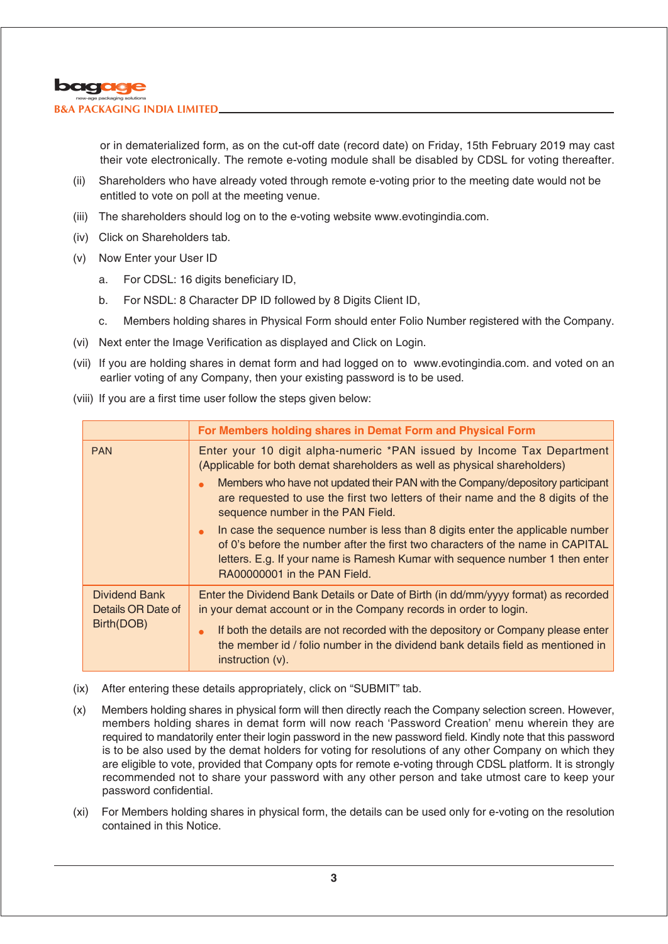

or in dematerialized form, as on the cut-off date (record date) on Friday, 15th February 2019 may cast their vote electronically. The remote e-voting module shall be disabled by CDSL for voting thereafter.

- (ii) Shareholders who have already voted through remote e-voting prior to the meeting date would not be entitled to vote on poll at the meeting venue.
- (iii) The shareholders should log on to the e-voting website www.evotingindia.com.
- (iv) Click on Shareholders tab.
- (v) Now Enter your User ID
	- a. For CDSL: 16 digits beneficiary ID,
	- b. For NSDL: 8 Character DP ID followed by 8 Digits Client ID,
	- c. Members holding shares in Physical Form should enter Folio Number registered with the Company.
- (vi) Next enter the Image Verification as displayed and Click on Login.
- (vii) If you are holding shares in demat form and had logged on to www.evotingindia.com. and voted on an earlier voting of any Company, then your existing password is to be used.
- (viii) If you are a first time user follow the steps given below:

|                                                          | For Members holding shares in Demat Form and Physical Form                                                                                                                                                                                                                                                                                                     |
|----------------------------------------------------------|----------------------------------------------------------------------------------------------------------------------------------------------------------------------------------------------------------------------------------------------------------------------------------------------------------------------------------------------------------------|
| <b>PAN</b>                                               | Enter your 10 digit alpha-numeric *PAN issued by Income Tax Department<br>(Applicable for both demat shareholders as well as physical shareholders)<br>Members who have not updated their PAN with the Company/depository participant<br>are requested to use the first two letters of their name and the 8 digits of the<br>sequence number in the PAN Field. |
|                                                          | In case the sequence number is less than 8 digits enter the applicable number<br>of 0's before the number after the first two characters of the name in CAPITAL<br>letters. E.g. If your name is Ramesh Kumar with sequence number 1 then enter<br>RA00000001 in the PAN Field.                                                                                |
| <b>Dividend Bank</b><br>Details OR Date of<br>Birth(DOB) | Enter the Dividend Bank Details or Date of Birth (in dd/mm/yyyy format) as recorded<br>in your demat account or in the Company records in order to login.<br>If both the details are not recorded with the depository or Company please enter<br>the member id / folio number in the dividend bank details field as mentioned in<br>$\int$ instruction $(v)$ . |

- (ix) After entering these details appropriately, click on "SUBMIT" tab.
- (x) Members holding shares in physical form will then directly reach the Company selection screen. However, members holding shares in demat form will now reach 'Password Creation' menu wherein they are required to mandatorily enter their login password in the new password field. Kindly note that this password is to be also used by the demat holders for voting for resolutions of any other Company on which they are eligible to vote, provided that Company opts for remote e-voting through CDSL platform. It is strongly recommended not to share your password with any other person and take utmost care to keep your password confidential.
- (xi) For Members holding shares in physical form, the details can be used only for e-voting on the resolution contained in this Notice.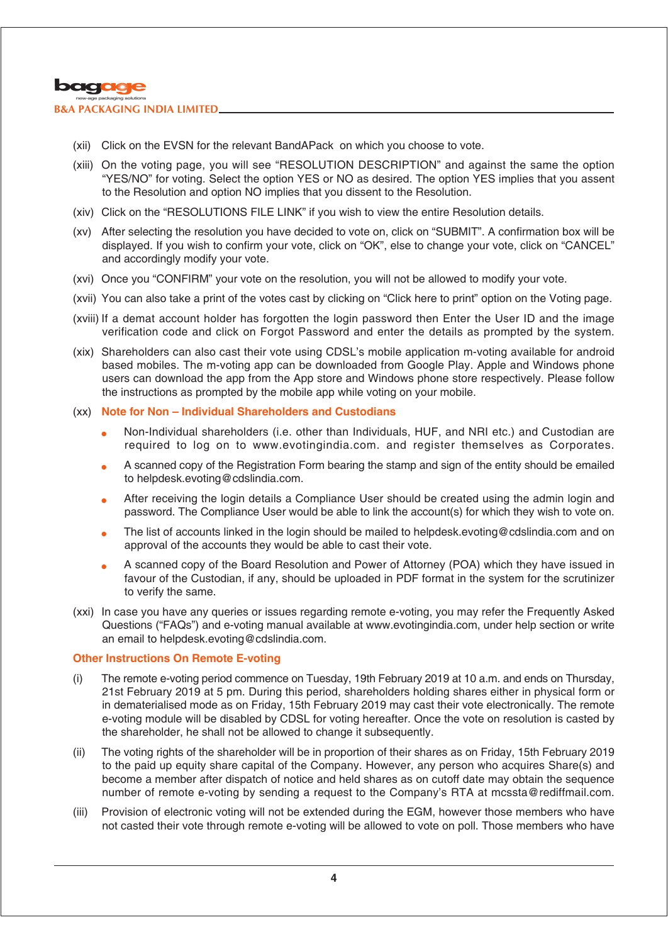

- (xii) Click on the EVSN for the relevant BandAPack on which you choose to vote.
- (xiii) On the voting page, you will see "RESOLUTION DESCRIPTION" and against the same the option "YES/NO" for voting. Select the option YES or NO as desired. The option YES implies that you assent to the Resolution and option NO implies that you dissent to the Resolution.
- (xiv) Click on the "RESOLUTIONS FILE LINK" if you wish to view the entire Resolution details.
- (xv) After selecting the resolution you have decided to vote on, click on "SUBMIT". A confirmation box will be displayed. If you wish to confirm your vote, click on "OK", else to change your vote, click on "CANCEL" and accordingly modify your vote.
- (xvi) Once you "CONFIRM" your vote on the resolution, you will not be allowed to modify your vote.
- (xvii) You can also take a print of the votes cast by clicking on "Click here to print" option on the Voting page.
- (xviii) If a demat account holder has forgotten the login password then Enter the User ID and the image verification code and click on Forgot Password and enter the details as prompted by the system.
- (xix) Shareholders can also cast their vote using CDSL's mobile application m-voting available for android based mobiles. The m-voting app can be downloaded from Google Play. Apple and Windows phone users can download the app from the App store and Windows phone store respectively. Please follow the instructions as prompted by the mobile app while voting on your mobile.
- (xx) **Note for Non Individual Shareholders and Custodians**
	- <sup>l</sup> Non-Individual shareholders (i.e. other than Individuals, HUF, and NRI etc.) and Custodian are required to log on to www.evotingindia.com. and register themselves as Corporates.
	- <sup>l</sup> A scanned copy of the Registration Form bearing the stamp and sign of the entity should be emailed to helpdesk.evoting@cdslindia.com.
	- <sup>l</sup> After receiving the login details a Compliance User should be created using the admin login and password. The Compliance User would be able to link the account(s) for which they wish to vote on.
	- The list of accounts linked in the login should be mailed to helpdesk.evoting@cdslindia.com and on approval of the accounts they would be able to cast their vote.
	- <sup>l</sup> A scanned copy of the Board Resolution and Power of Attorney (POA) which they have issued in favour of the Custodian, if any, should be uploaded in PDF format in the system for the scrutinizer to verify the same.
- (xxi) In case you have any queries or issues regarding remote e-voting, you may refer the Frequently Asked Questions ("FAQs") and e-voting manual available at www.evotingindia.com, under help section or write an email to helpdesk.evoting@cdslindia.com.

### **Other Instructions On Remote E-voting**

- (i) The remote e-voting period commence on Tuesday, 19th February 2019 at 10 a.m. and ends on Thursday, 21st February 2019 at 5 pm. During this period, shareholders holding shares either in physical form or in dematerialised mode as on Friday, 15th February 2019 may cast their vote electronically. The remote e-voting module will be disabled by CDSL for voting hereafter. Once the vote on resolution is casted by the shareholder, he shall not be allowed to change it subsequently.
- (ii) The voting rights of the shareholder will be in proportion of their shares as on Friday, 15th February 2019 to the paid up equity share capital of the Company. However, any person who acquires Share(s) and become a member after dispatch of notice and held shares as on cutoff date may obtain the sequence number of remote e-voting by sending a request to the Company's RTA at mcssta@rediffmail.com.
- (iii) Provision of electronic voting will not be extended during the EGM, however those members who have not casted their vote through remote e-voting will be allowed to vote on poll. Those members who have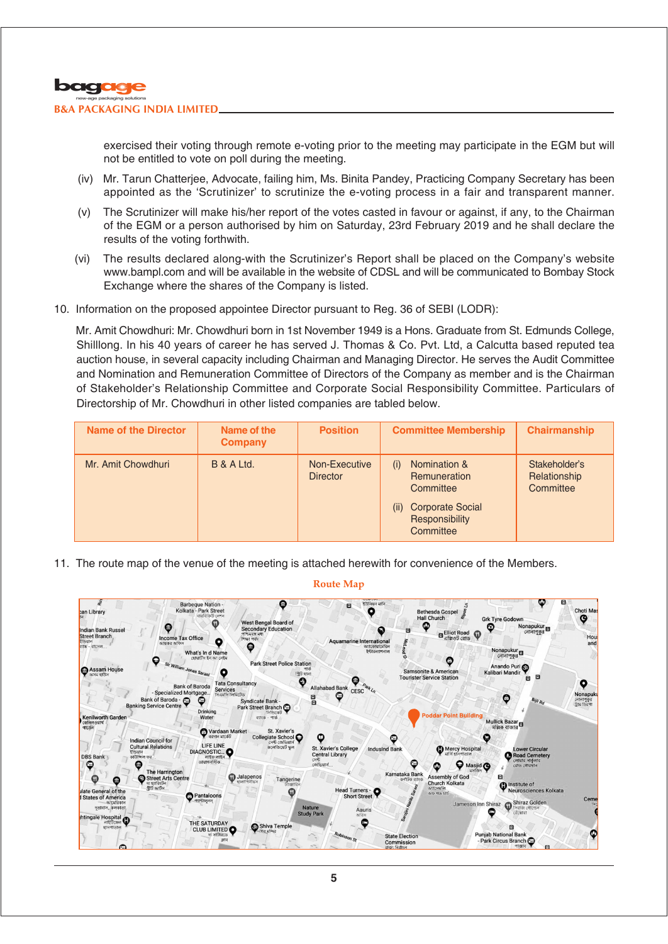

exercised their voting through remote e-voting prior to the meeting may participate in the EGM but will not be entitled to vote on poll during the meeting.

- (iv) Mr. Tarun Chatterjee, Advocate, failing him, Ms. Binita Pandey, Practicing Company Secretary has been appointed as the 'Scrutinizer' to scrutinize the e-voting process in a fair and transparent manner.
- (v) The Scrutinizer will make his/her report of the votes casted in favour or against, if any, to the Chairman of the EGM or a person authorised by him on Saturday, 23rd February 2019 and he shall declare the results of the voting forthwith.
- (vi) The results declared along-with the Scrutinizer's Report shall be placed on the Company's website www.bampl.com and will be available in the website of CDSL and will be communicated to Bombay Stock Exchange where the shares of the Company is listed.
- 10. Information on the proposed appointee Director pursuant to Reg. 36 of SEBI (LODR):

Mr. Amit Chowdhuri: Mr. Chowdhuri born in 1st November 1949 is a Hons. Graduate from St. Edmunds College, Shilllong. In his 40 years of career he has served J. Thomas & Co. Pvt. Ltd, a Calcutta based reputed tea auction house, in several capacity including Chairman and Managing Director. He serves the Audit Committee and Nomination and Remuneration Committee of Directors of the Company as member and is the Chairman of Stakeholder's Relationship Committee and Corporate Social Responsibility Committee. Particulars of Directorship of Mr. Chowdhuri in other listed companies are tabled below.

| <b>Name of the Director</b> | Name of the<br><b>Company</b> | <b>Position</b>                  | <b>Committee Membership</b>                                                                                               | <b>Chairmanship</b>                        |
|-----------------------------|-------------------------------|----------------------------------|---------------------------------------------------------------------------------------------------------------------------|--------------------------------------------|
| Mr. Amit Chowdhuri          | <b>B &amp; A Ltd.</b>         | Non-Executive<br><b>Director</b> | Nomination &<br>(i)<br><b>Remuneration</b><br>Committee<br><b>Corporate Social</b><br>(ii)<br>Responsibility<br>Committee | Stakeholder's<br>Relationship<br>Committee |

11. The route map of the venue of the meeting is attached herewith for convenience of the Members.



**Route Map**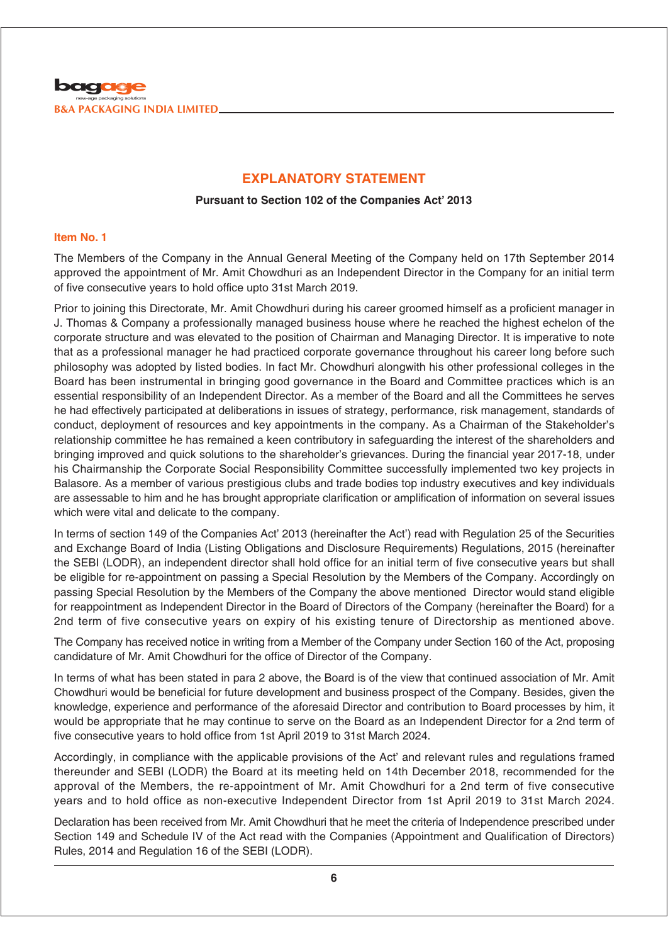

## **EXPLANATORY STATEMENT**

### **Pursuant to Section 102 of the Companies Act' 2013**

### **Item No. 1**

The Members of the Company in the Annual General Meeting of the Company held on 17th September 2014 approved the appointment of Mr. Amit Chowdhuri as an Independent Director in the Company for an initial term of five consecutive years to hold office upto 31st March 2019.

Prior to joining this Directorate, Mr. Amit Chowdhuri during his career groomed himself as a proficient manager in J. Thomas & Company a professionally managed business house where he reached the highest echelon of the corporate structure and was elevated to the position of Chairman and Managing Director. It is imperative to note that as a professional manager he had practiced corporate governance throughout his career long before such philosophy was adopted by listed bodies. In fact Mr. Chowdhuri alongwith his other professional colleges in the Board has been instrumental in bringing good governance in the Board and Committee practices which is an essential responsibility of an Independent Director. As a member of the Board and all the Committees he serves he had effectively participated at deliberations in issues of strategy, performance, risk management, standards of conduct, deployment of resources and key appointments in the company. As a Chairman of the Stakeholder's relationship committee he has remained a keen contributory in safeguarding the interest of the shareholders and bringing improved and quick solutions to the shareholder's grievances. During the financial year 2017-18, under his Chairmanship the Corporate Social Responsibility Committee successfully implemented two key projects in Balasore. As a member of various prestigious clubs and trade bodies top industry executives and key individuals are assessable to him and he has brought appropriate clarification or amplification of information on several issues which were vital and delicate to the company.

In terms of section 149 of the Companies Act' 2013 (hereinafter the Act') read with Regulation 25 of the Securities and Exchange Board of India (Listing Obligations and Disclosure Requirements) Regulations, 2015 (hereinafter the SEBI (LODR), an independent director shall hold office for an initial term of five consecutive years but shall be eligible for re-appointment on passing a Special Resolution by the Members of the Company. Accordingly on passing Special Resolution by the Members of the Company the above mentioned Director would stand eligible for reappointment as Independent Director in the Board of Directors of the Company (hereinafter the Board) for a 2nd term of five consecutive years on expiry of his existing tenure of Directorship as mentioned above.

The Company has received notice in writing from a Member of the Company under Section 160 of the Act, proposing candidature of Mr. Amit Chowdhuri for the office of Director of the Company.

In terms of what has been stated in para 2 above, the Board is of the view that continued association of Mr. Amit Chowdhuri would be beneficial for future development and business prospect of the Company. Besides, given the knowledge, experience and performance of the aforesaid Director and contribution to Board processes by him, it would be appropriate that he may continue to serve on the Board as an Independent Director for a 2nd term of five consecutive years to hold office from 1st April 2019 to 31st March 2024.

Accordingly, in compliance with the applicable provisions of the Act' and relevant rules and regulations framed thereunder and SEBI (LODR) the Board at its meeting held on 14th December 2018, recommended for the approval of the Members, the re-appointment of Mr. Amit Chowdhuri for a 2nd term of five consecutive years and to hold office as non-executive Independent Director from 1st April 2019 to 31st March 2024.

Declaration has been received from Mr. Amit Chowdhuri that he meet the criteria of Independence prescribed under Section 149 and Schedule IV of the Act read with the Companies (Appointment and Qualification of Directors) Rules, 2014 and Regulation 16 of the SEBI (LODR).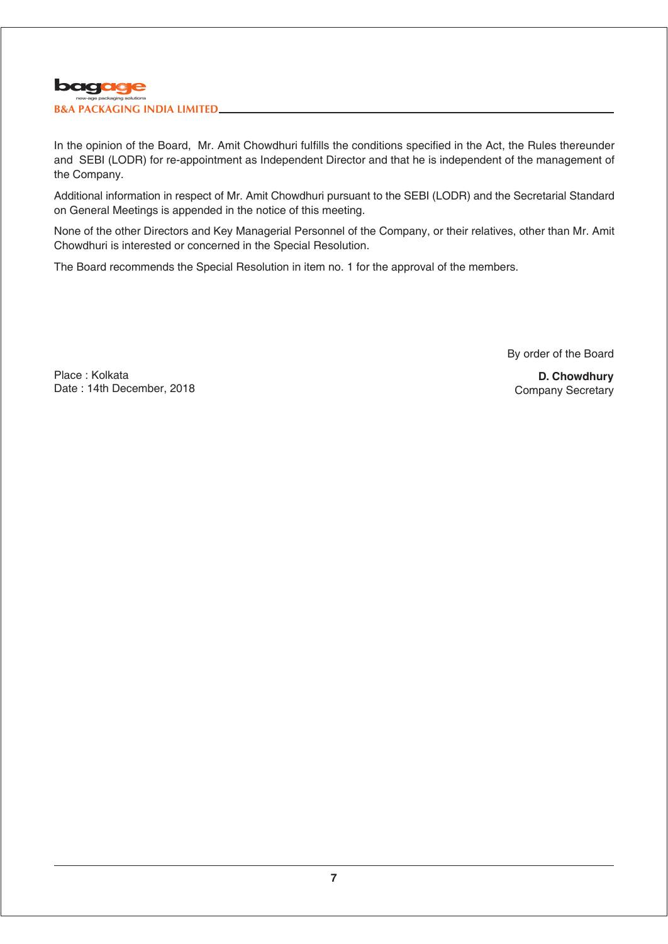

In the opinion of the Board, Mr. Amit Chowdhuri fulfills the conditions specified in the Act, the Rules thereunder and SEBI (LODR) for re-appointment as Independent Director and that he is independent of the management of the Company.

Additional information in respect of Mr. Amit Chowdhuri pursuant to the SEBI (LODR) and the Secretarial Standard on General Meetings is appended in the notice of this meeting.

None of the other Directors and Key Managerial Personnel of the Company, or their relatives, other than Mr. Amit Chowdhuri is interested or concerned in the Special Resolution.

The Board recommends the Special Resolution in item no. 1 for the approval of the members.

By order of the Board

Place : Kolkata Date : 14th December, 2018

**D. Chowdhury** Company Secretary